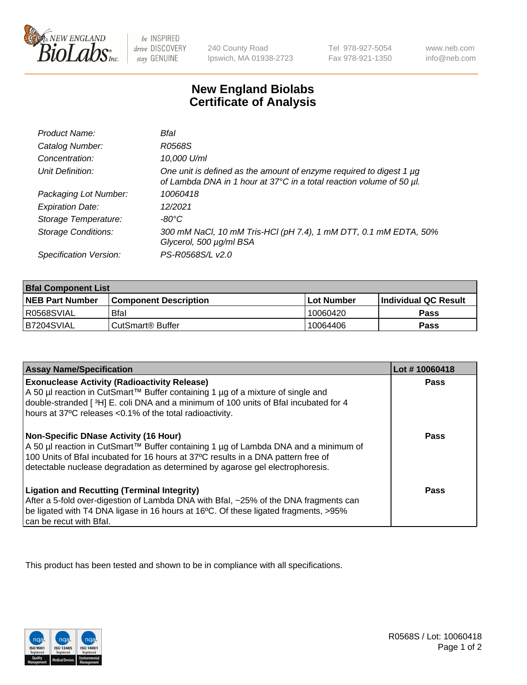

 $be$  INSPIRED drive DISCOVERY stay GENUINE

240 County Road Ipswich, MA 01938-2723 Tel 978-927-5054 Fax 978-921-1350 www.neb.com info@neb.com

## **New England Biolabs Certificate of Analysis**

| Product Name:              | Bfal                                                                                                                                             |
|----------------------------|--------------------------------------------------------------------------------------------------------------------------------------------------|
| Catalog Number:            | R0568S                                                                                                                                           |
| Concentration:             | 10,000 U/ml                                                                                                                                      |
| Unit Definition:           | One unit is defined as the amount of enzyme required to digest 1 $\mu$ g<br>of Lambda DNA in 1 hour at 37°C in a total reaction volume of 50 µl. |
| Packaging Lot Number:      | 10060418                                                                                                                                         |
| <b>Expiration Date:</b>    | 12/2021                                                                                                                                          |
| Storage Temperature:       | $-80^{\circ}$ C                                                                                                                                  |
| <b>Storage Conditions:</b> | 300 mM NaCl, 10 mM Tris-HCl (pH 7.4), 1 mM DTT, 0.1 mM EDTA, 50%<br>Glycerol, 500 µg/ml BSA                                                      |
| Specification Version:     | PS-R0568S/L v2.0                                                                                                                                 |

| <b>Bfal Component List</b> |                              |             |                             |  |
|----------------------------|------------------------------|-------------|-----------------------------|--|
| <b>NEB Part Number</b>     | <b>Component Description</b> | ⊺Lot Number | <b>Individual QC Result</b> |  |
| I R0568SVIAL               | <b>Bfal</b>                  | 10060420    | Pass                        |  |
| B7204SVIAL                 | l CutSmart® Buffer           | 10064406    | Pass                        |  |

| <b>Assay Name/Specification</b>                                                                                                                                                                                                                                                                           | Lot #10060418 |
|-----------------------------------------------------------------------------------------------------------------------------------------------------------------------------------------------------------------------------------------------------------------------------------------------------------|---------------|
| <b>Exonuclease Activity (Radioactivity Release)</b><br>A 50 µl reaction in CutSmart™ Buffer containing 1 µg of a mixture of single and<br>double-stranded [3H] E. coli DNA and a minimum of 100 units of Bfal incubated for 4<br>hours at 37°C releases <0.1% of the total radioactivity.                 | Pass          |
| <b>Non-Specific DNase Activity (16 Hour)</b><br>A 50 µl reaction in CutSmart™ Buffer containing 1 µg of Lambda DNA and a minimum of<br>100 Units of Bfal incubated for 16 hours at 37°C results in a DNA pattern free of<br>detectable nuclease degradation as determined by agarose gel electrophoresis. | Pass          |
| <b>Ligation and Recutting (Terminal Integrity)</b><br>After a 5-fold over-digestion of Lambda DNA with Bfal, ~25% of the DNA fragments can<br>be ligated with T4 DNA ligase in 16 hours at 16°C. Of these ligated fragments, >95%<br>can be recut with Bfal.                                              | Pass          |

This product has been tested and shown to be in compliance with all specifications.